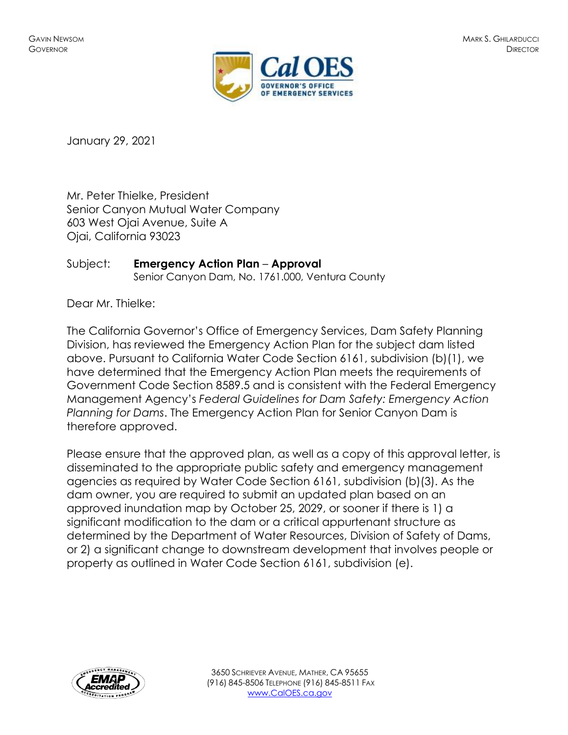

January 29, 2021

Mr. Peter Thielke, President Senior Canyon Mutual Water Company 603 West Ojai Avenue, Suite A Ojai, California 93023

## Subject: **Emergency Action Plan** – **Approval**

Senior Canyon Dam, No. 1761.000, Ventura County

Dear Mr. Thielke:

The California Governor's Office of Emergency Services, Dam Safety Planning Division, has reviewed the Emergency Action Plan for the subject dam listed above. Pursuant to California Water Code Section 6161, subdivision (b)(1), we have determined that the Emergency Action Plan meets the requirements of Government Code Section 8589.5 and is consistent with the Federal Emergency Management Agency's *Federal Guidelines for Dam Safety: Emergency Action Planning for Dams*. The Emergency Action Plan for Senior Canyon Dam is therefore approved.

Please ensure that the approved plan, as well as a copy of this approval letter, is disseminated to the appropriate public safety and emergency management agencies as required by Water Code Section 6161, subdivision (b)(3). As the dam owner, you are required to submit an updated plan based on an approved inundation map by October 25, 2029, or sooner if there is 1) a significant modification to the dam or a critical appurtenant structure as determined by the Department of Water Resources, Division of Safety of Dams, or 2) a significant change to downstream development that involves people or property as outlined in Water Code Section 6161, subdivision (e).